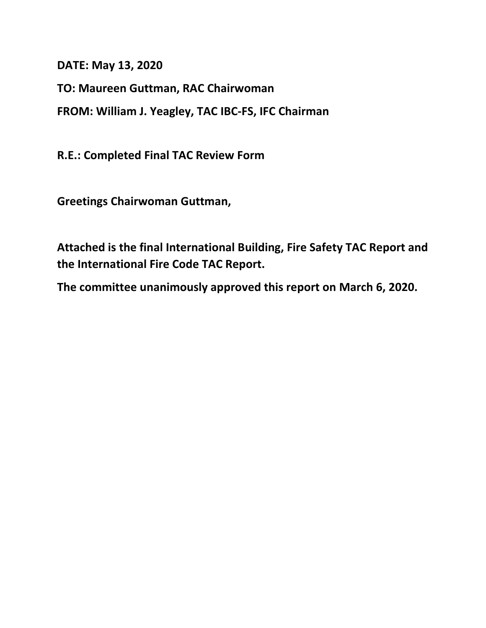**DATE: May 13, 2020**

**TO: Maureen Guttman, RAC Chairwoman**

**FROM: William J. Yeagley, TAC IBC-FS, IFC Chairman**

**R.E.: Completed Final TAC Review Form**

**Greetings Chairwoman Guttman,**

**Attached is the final International Building, Fire Safety TAC Report and the International Fire Code TAC Report.**

**The committee unanimously approved this report on March 6, 2020.**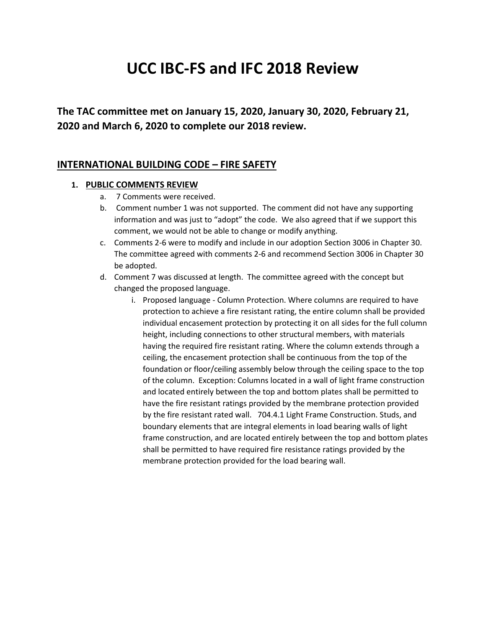# **UCC IBC-FS and IFC 2018 Review**

**The TAC committee met on January 15, 2020, January 30, 2020, February 21, 2020 and March 6, 2020 to complete our 2018 review.**

#### **INTERNATIONAL BUILDING CODE – FIRE SAFETY**

#### **1. PUBLIC COMMENTS REVIEW**

- a. 7 Comments were received.
- b. Comment number 1 was not supported. The comment did not have any supporting information and was just to "adopt" the code. We also agreed that if we support this comment, we would not be able to change or modify anything.
- c. Comments 2-6 were to modify and include in our adoption Section 3006 in Chapter 30. The committee agreed with comments 2-6 and recommend Section 3006 in Chapter 30 be adopted.
- d. Comment 7 was discussed at length. The committee agreed with the concept but changed the proposed language.
	- i. Proposed language Column Protection. Where columns are required to have protection to achieve a fire resistant rating, the entire column shall be provided individual encasement protection by protecting it on all sides for the full column height, including connections to other structural members, with materials having the required fire resistant rating. Where the column extends through a ceiling, the encasement protection shall be continuous from the top of the foundation or floor/ceiling assembly below through the ceiling space to the top of the column. Exception: Columns located in a wall of light frame construction and located entirely between the top and bottom plates shall be permitted to have the fire resistant ratings provided by the membrane protection provided by the fire resistant rated wall. 704.4.1 Light Frame Construction. Studs, and boundary elements that are integral elements in load bearing walls of light frame construction, and are located entirely between the top and bottom plates shall be permitted to have required fire resistance ratings provided by the membrane protection provided for the load bearing wall.